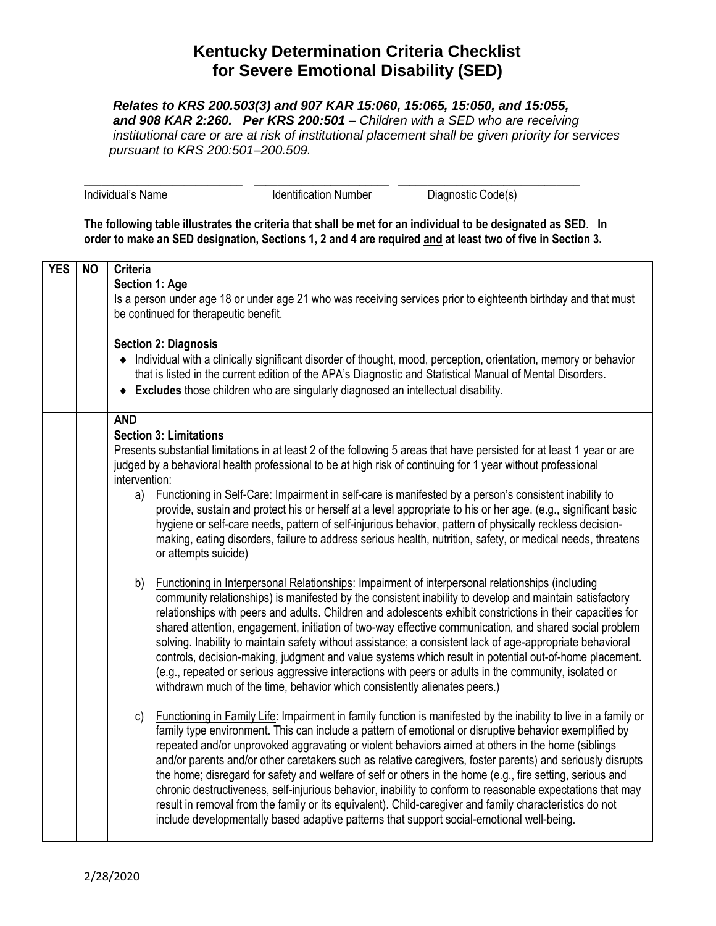## **Kentucky Determination Criteria Checklist for Severe Emotional Disability (SED)**

 *Relates to KRS 200.503(3) and 907 KAR 15:060, 15:065, 15:050, and 15:055, and 908 KAR 2:260. Per KRS 200:501 – Children with a SED who are receiving institutional care or are at risk of institutional placement shall be given priority for services pursuant to KRS 200:501–200.509.*

\_\_\_\_\_\_\_\_\_\_\_\_\_\_\_\_\_\_\_\_\_\_\_\_\_\_\_ \_\_\_\_\_\_\_\_\_\_\_\_\_\_\_\_\_\_\_\_\_\_\_ \_\_\_\_\_\_\_\_\_\_\_\_\_\_\_\_\_\_\_\_\_\_\_\_\_\_\_\_\_\_\_ Individual's Name **Individual's Name** Identification Number Diagnostic Code(s)

**The following table illustrates the criteria that shall be met for an individual to be designated as SED. In order to make an SED designation, Sections 1, 2 and 4 are required and at least two of five in Section 3.**

| <b>YES</b> | <b>NO</b> | Criteria                                                                                                                                                                                        |
|------------|-----------|-------------------------------------------------------------------------------------------------------------------------------------------------------------------------------------------------|
|            |           | Section 1: Age                                                                                                                                                                                  |
|            |           | Is a person under age 18 or under age 21 who was receiving services prior to eighteenth birthday and that must                                                                                  |
|            |           | be continued for therapeutic benefit.                                                                                                                                                           |
|            |           |                                                                                                                                                                                                 |
|            |           | <b>Section 2: Diagnosis</b>                                                                                                                                                                     |
|            |           | • Individual with a clinically significant disorder of thought, mood, perception, orientation, memory or behavior                                                                               |
|            |           | that is listed in the current edition of the APA's Diagnostic and Statistical Manual of Mental Disorders.<br>• Excludes those children who are singularly diagnosed an intellectual disability. |
|            |           |                                                                                                                                                                                                 |
|            |           | <b>AND</b>                                                                                                                                                                                      |
|            |           | <b>Section 3: Limitations</b>                                                                                                                                                                   |
|            |           | Presents substantial limitations in at least 2 of the following 5 areas that have persisted for at least 1 year or are                                                                          |
|            |           | judged by a behavioral health professional to be at high risk of continuing for 1 year without professional                                                                                     |
|            |           | intervention:                                                                                                                                                                                   |
|            |           | Functioning in Self-Care: Impairment in self-care is manifested by a person's consistent inability to<br>a)                                                                                     |
|            |           | provide, sustain and protect his or herself at a level appropriate to his or her age. (e.g., significant basic                                                                                  |
|            |           | hygiene or self-care needs, pattern of self-injurious behavior, pattern of physically reckless decision-                                                                                        |
|            |           | making, eating disorders, failure to address serious health, nutrition, safety, or medical needs, threatens<br>or attempts suicide)                                                             |
|            |           |                                                                                                                                                                                                 |
|            |           | Functioning in Interpersonal Relationships: Impairment of interpersonal relationships (including<br>b)                                                                                          |
|            |           | community relationships) is manifested by the consistent inability to develop and maintain satisfactory                                                                                         |
|            |           | relationships with peers and adults. Children and adolescents exhibit constrictions in their capacities for                                                                                     |
|            |           | shared attention, engagement, initiation of two-way effective communication, and shared social problem                                                                                          |
|            |           | solving. Inability to maintain safety without assistance; a consistent lack of age-appropriate behavioral                                                                                       |
|            |           | controls, decision-making, judgment and value systems which result in potential out-of-home placement.                                                                                          |
|            |           | (e.g., repeated or serious aggressive interactions with peers or adults in the community, isolated or                                                                                           |
|            |           | withdrawn much of the time, behavior which consistently alienates peers.)                                                                                                                       |
|            |           | Functioning in Family Life: Impairment in family function is manifested by the inability to live in a family or<br>c)                                                                           |
|            |           | family type environment. This can include a pattern of emotional or disruptive behavior exemplified by                                                                                          |
|            |           | repeated and/or unprovoked aggravating or violent behaviors aimed at others in the home (siblings                                                                                               |
|            |           | and/or parents and/or other caretakers such as relative caregivers, foster parents) and seriously disrupts                                                                                      |
|            |           | the home; disregard for safety and welfare of self or others in the home (e.g., fire setting, serious and                                                                                       |
|            |           | chronic destructiveness, self-injurious behavior, inability to conform to reasonable expectations that may                                                                                      |
|            |           | result in removal from the family or its equivalent). Child-caregiver and family characteristics do not                                                                                         |
|            |           | include developmentally based adaptive patterns that support social-emotional well-being.                                                                                                       |
|            |           |                                                                                                                                                                                                 |